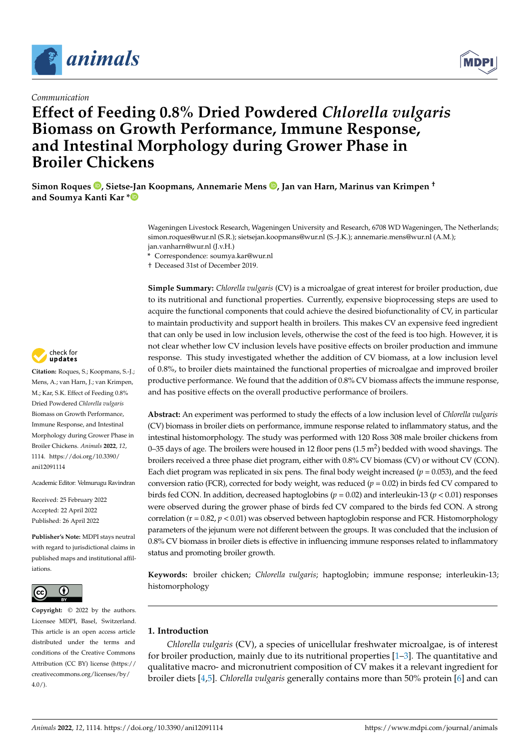

## *Communication*

# **Effect of Feeding 0.8% Dried Powdered** *Chlorella vulgaris* **Biomass on Growth Performance, Immune Response, and Intestinal Morphology during Grower Phase in Broiler Chickens**

**Simon Roques [,](https://orcid.org/0000-0003-3566-8505) Sietse-Jan Koopmans, Annemarie Mens [,](https://orcid.org/0000-0001-6659-572X) Jan van Harn, Marinus van Krimpen † and Soumya Kanti Kar [\\*](https://orcid.org/0000-0002-7892-9034)**

> Wageningen Livestock Research, Wageningen University and Research, 6708 WD Wageningen, The Netherlands; simon.roques@wur.nl (S.R.); sietsejan.koopmans@wur.nl (S.-J.K.); annemarie.mens@wur.nl (A.M.); jan.vanharn@wur.nl (J.v.H.)

**\*** Correspondence: soumya.kar@wur.nl

† Deceased 31st of December 2019.

**Simple Summary:** *Chlorella vulgaris* (CV) is a microalgae of great interest for broiler production, due to its nutritional and functional properties. Currently, expensive bioprocessing steps are used to acquire the functional components that could achieve the desired biofunctionality of CV, in particular to maintain productivity and support health in broilers. This makes CV an expensive feed ingredient that can only be used in low inclusion levels, otherwise the cost of the feed is too high. However, it is not clear whether low CV inclusion levels have positive effects on broiler production and immune response. This study investigated whether the addition of CV biomass, at a low inclusion level of 0.8%, to broiler diets maintained the functional properties of microalgae and improved broiler productive performance. We found that the addition of 0.8% CV biomass affects the immune response, and has positive effects on the overall productive performance of broilers.

**Abstract:** An experiment was performed to study the effects of a low inclusion level of *Chlorella vulgaris* (CV) biomass in broiler diets on performance, immune response related to inflammatory status, and the intestinal histomorphology. The study was performed with 120 Ross 308 male broiler chickens from 0–35 days of age. The broilers were housed in 12 floor pens  $(1.5 \text{ m}^2)$  bedded with wood shavings. The broilers received a three phase diet program, either with 0.8% CV biomass (CV) or without CV (CON). Each diet program was replicated in six pens. The final body weight increased ( $p = 0.053$ ), and the feed conversion ratio (FCR), corrected for body weight, was reduced ( $p = 0.02$ ) in birds fed CV compared to birds fed CON. In addition, decreased haptoglobins (*p* = 0.02) and interleukin-13 (*p* < 0.01) responses were observed during the grower phase of birds fed CV compared to the birds fed CON. A strong correlation (r = 0.82,  $p$  < 0.01) was observed between haptoglobin response and FCR. Histomorphology parameters of the jejunum were not different between the groups. It was concluded that the inclusion of 0.8% CV biomass in broiler diets is effective in influencing immune responses related to inflammatory status and promoting broiler growth.

**Keywords:** broiler chicken; *Chlorella vulgaris*; haptoglobin; immune response; interleukin-13; histomorphology

## **1. Introduction**

*Chlorella vulgaris* (CV), a species of unicellular freshwater microalgae, is of interest for broiler production, mainly due to its nutritional properties [\[1–](#page-8-0)[3\]](#page-8-1). The quantitative and qualitative macro- and micronutrient composition of CV makes it a relevant ingredient for broiler diets [\[4,](#page-8-2)[5\]](#page-8-3). *Chlorella vulgaris* generally contains more than 50% protein [\[6\]](#page-8-4) and can



**Citation:** Roques, S.; Koopmans, S.-J.; Mens, A.; van Harn, J.; van Krimpen, M.; Kar, S.K. Effect of Feeding 0.8% Dried Powdered *Chlorella vulgaris* Biomass on Growth Performance, Immune Response, and Intestinal Morphology during Grower Phase in Broiler Chickens. *Animals* **2022**, *12*, 1114. [https://doi.org/10.3390/](https://doi.org/10.3390/ani12091114) [ani12091114](https://doi.org/10.3390/ani12091114)

Academic Editor: Velmurugu Ravindran

Received: 25 February 2022 Accepted: 22 April 2022 Published: 26 April 2022

**Publisher's Note:** MDPI stays neutral with regard to jurisdictional claims in published maps and institutional affiliations.



**Copyright:** © 2022 by the authors. Licensee MDPI, Basel, Switzerland. This article is an open access article distributed under the terms and conditions of the Creative Commons Attribution (CC BY) license [\(https://](https://creativecommons.org/licenses/by/4.0/) [creativecommons.org/licenses/by/](https://creativecommons.org/licenses/by/4.0/)  $4.0/$ ).

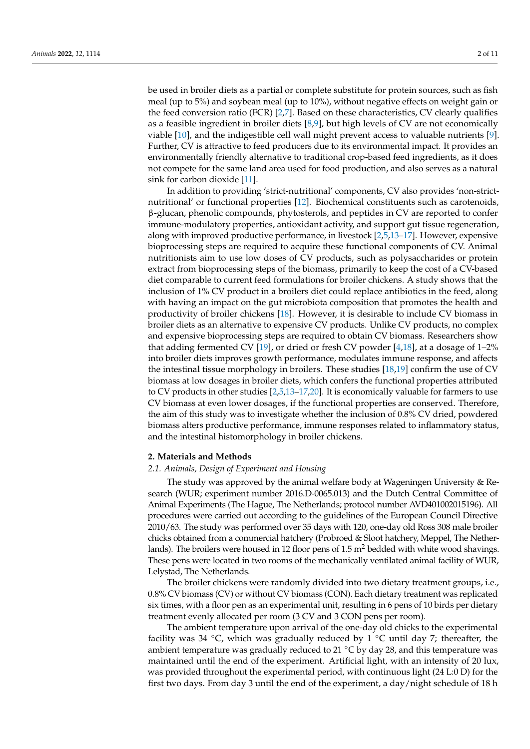be used in broiler diets as a partial or complete substitute for protein sources, such as fish meal (up to 5%) and soybean meal (up to 10%), without negative effects on weight gain or the feed conversion ratio (FCR) [\[2](#page-8-5)[,7\]](#page-8-6). Based on these characteristics, CV clearly qualifies as a feasible ingredient in broiler diets [\[8](#page-8-7)[,9\]](#page-8-8), but high levels of CV are not economically viable [\[10\]](#page-8-9), and the indigestible cell wall might prevent access to valuable nutrients [\[9\]](#page-8-8). Further, CV is attractive to feed producers due to its environmental impact. It provides an environmentally friendly alternative to traditional crop-based feed ingredients, as it does not compete for the same land area used for food production, and also serves as a natural sink for carbon dioxide [\[11\]](#page-8-10).

In addition to providing 'strict-nutritional' components, CV also provides 'non-strictnutritional' or functional properties [\[12\]](#page-8-11). Biochemical constituents such as carotenoids, β-glucan, phenolic compounds, phytosterols, and peptides in CV are reported to confer immune-modulatory properties, antioxidant activity, and support gut tissue regeneration, along with improved productive performance, in livestock [\[2](#page-8-5)[,5](#page-8-3)[,13](#page-9-0)[–17\]](#page-9-1). However, expensive bioprocessing steps are required to acquire these functional components of CV. Animal nutritionists aim to use low doses of CV products, such as polysaccharides or protein extract from bioprocessing steps of the biomass, primarily to keep the cost of a CV-based diet comparable to current feed formulations for broiler chickens. A study shows that the inclusion of 1% CV product in a broilers diet could replace antibiotics in the feed, along with having an impact on the gut microbiota composition that promotes the health and productivity of broiler chickens [\[18\]](#page-9-2). However, it is desirable to include CV biomass in broiler diets as an alternative to expensive CV products. Unlike CV products, no complex and expensive bioprocessing steps are required to obtain CV biomass. Researchers show that adding fermented CV [\[19\]](#page-9-3), or dried or fresh CV powder [\[4,](#page-8-2)[18\]](#page-9-2), at a dosage of 1–2% into broiler diets improves growth performance, modulates immune response, and affects the intestinal tissue morphology in broilers. These studies  $[18,19]$  $[18,19]$  confirm the use of CV biomass at low dosages in broiler diets, which confers the functional properties attributed to CV products in other studies [\[2,](#page-8-5)[5,](#page-8-3)[13–](#page-9-0)[17](#page-9-1)[,20\]](#page-9-4). It is economically valuable for farmers to use CV biomass at even lower dosages, if the functional properties are conserved. Therefore, the aim of this study was to investigate whether the inclusion of 0.8% CV dried, powdered biomass alters productive performance, immune responses related to inflammatory status, and the intestinal histomorphology in broiler chickens.

#### **2. Materials and Methods**

## *2.1. Animals, Design of Experiment and Housing*

The study was approved by the animal welfare body at Wageningen University & Research (WUR; experiment number 2016.D-0065.013) and the Dutch Central Committee of Animal Experiments (The Hague, The Netherlands; protocol number AVD401002015196). All procedures were carried out according to the guidelines of the European Council Directive 2010/63. The study was performed over 35 days with 120, one-day old Ross 308 male broiler chicks obtained from a commercial hatchery (Probroed & Sloot hatchery, Meppel, The Netherlands). The broilers were housed in 12 floor pens of  $1.5 \text{ m}^2$  bedded with white wood shavings. These pens were located in two rooms of the mechanically ventilated animal facility of WUR, Lelystad, The Netherlands.

The broiler chickens were randomly divided into two dietary treatment groups, i.e., 0.8% CV biomass (CV) or without CV biomass (CON). Each dietary treatment was replicated six times, with a floor pen as an experimental unit, resulting in 6 pens of 10 birds per dietary treatment evenly allocated per room (3 CV and 3 CON pens per room).

The ambient temperature upon arrival of the one-day old chicks to the experimental facility was 34  $°C$ , which was gradually reduced by 1  $°C$  until day 7; thereafter, the ambient temperature was gradually reduced to 21 $\degree$ C by day 28, and this temperature was maintained until the end of the experiment. Artificial light, with an intensity of 20 lux, was provided throughout the experimental period, with continuous light (24 L:0 D) for the first two days. From day 3 until the end of the experiment, a day/night schedule of 18 h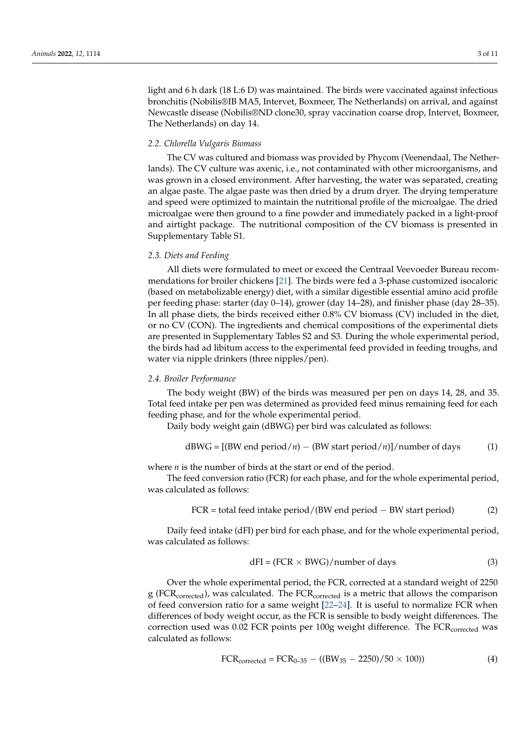light and 6 h dark (18 L:6 D) was maintained. The birds were vaccinated against infectious bronchitis (Nobilis®IB MA5, Intervet, Boxmeer, The Netherlands) on arrival, and against Newcastle disease (Nobilis®ND clone30, spray vaccination coarse drop, Intervet, Boxmeer, The Netherlands) on day 14.

#### *2.2. Chlorella Vulgaris Biomass*

The CV was cultured and biomass was provided by Phycom (Veenendaal, The Netherlands). The CV culture was axenic, i.e., not contaminated with other microorganisms, and was grown in a closed environment. After harvesting, the water was separated, creating an algae paste. The algae paste was then dried by a drum dryer. The drying temperature and speed were optimized to maintain the nutritional profile of the microalgae. The dried microalgae were then ground to a fine powder and immediately packed in a light-proof and airtight package. The nutritional composition of the CV biomass is presented in Supplementary Table S1.

#### *2.3. Diets and Feeding*

All diets were formulated to meet or exceed the Centraal Veevoeder Bureau recommendations for broiler chickens [\[21\]](#page-9-5). The birds were fed a 3-phase customized isocaloric (based on metabolizable energy) diet, with a similar digestible essential amino acid profile per feeding phase: starter (day 0–14), grower (day 14–28), and finisher phase (day 28–35). In all phase diets, the birds received either 0.8% CV biomass (CV) included in the diet, or no CV (CON). The ingredients and chemical compositions of the experimental diets are presented in Supplementary Tables S2 and S3. During the whole experimental period, the birds had ad libitum access to the experimental feed provided in feeding troughs, and water via nipple drinkers (three nipples/pen).

### *2.4. Broiler Performance*

The body weight (BW) of the birds was measured per pen on days 14, 28, and 35. Total feed intake per pen was determined as provided feed minus remaining feed for each feeding phase, and for the whole experimental period.

Daily body weight gain (dBWG) per bird was calculated as follows:

dBWG = [(BW end period/*n*) − (BW start period/*n*)]/number of days (1)

where *n* is the number of birds at the start or end of the period.

The feed conversion ratio (FCR) for each phase, and for the whole experimental period, was calculated as follows:

$$
FCR = total feed intake period / (BW end period - BW start period)
$$
 (2)

Daily feed intake (dFI) per bird for each phase, and for the whole experimental period, was calculated as follows:

$$
dFI = (FCR \times BWG)/number \text{ of days} \tag{3}
$$

Over the whole experimental period, the FCR, corrected at a standard weight of 2250 g (FCR<sub>corrected</sub>), was calculated. The FCR<sub>corrected</sub> is a metric that allows the comparison of feed conversion ratio for a same weight [\[22–](#page-9-6)[24\]](#page-9-7). It is useful to normalize FCR when differences of body weight occur, as the FCR is sensible to body weight differences. The correction used was  $0.02$  FCR points per 100g weight difference. The FCR<sub>corrected</sub> was calculated as follows:

$$
FCR_{\text{corrected}} = FCR_{0-35} - ((BW_{35} - 2250)/50 \times 100))
$$
 (4)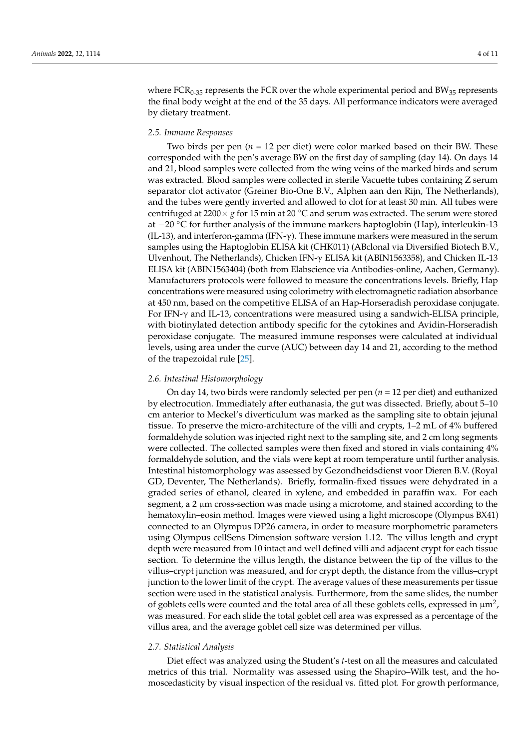where  $FCR<sub>0-35</sub>$  represents the FCR over the whole experimental period and BW<sub>35</sub> represents the final body weight at the end of the 35 days. All performance indicators were averaged by dietary treatment.

#### *2.5. Immune Responses*

Two birds per pen (*n* = 12 per diet) were color marked based on their BW. These corresponded with the pen's average BW on the first day of sampling (day 14). On days 14 and 21, blood samples were collected from the wing veins of the marked birds and serum was extracted. Blood samples were collected in sterile Vacuette tubes containing Z serum separator clot activator (Greiner Bio-One B.V., Alphen aan den Rijn, The Netherlands), and the tubes were gently inverted and allowed to clot for at least 30 min. All tubes were centrifuged at 2200 $\times$  *g* for 15 min at 20 °C and serum was extracted. The serum were stored at −20 ◦C for further analysis of the immune markers haptoglobin (Hap), interleukin-13 (IL-13), and interferon-gamma (IFN-γ). These immune markers were measured in the serum samples using the Haptoglobin ELISA kit (CHK011) (ABclonal via Diversified Biotech B.V., Ulvenhout, The Netherlands), Chicken IFN-γ ELISA kit (ABIN1563358), and Chicken IL-13 ELISA kit (ABIN1563404) (both from Elabscience via Antibodies-online, Aachen, Germany). Manufacturers protocols were followed to measure the concentrations levels. Briefly, Hap concentrations were measured using colorimetry with electromagnetic radiation absorbance at 450 nm, based on the competitive ELISA of an Hap-Horseradish peroxidase conjugate. For IFN-γ and IL-13, concentrations were measured using a sandwich-ELISA principle, with biotinylated detection antibody specific for the cytokines and Avidin-Horseradish peroxidase conjugate. The measured immune responses were calculated at individual levels, using area under the curve (AUC) between day 14 and 21, according to the method of the trapezoidal rule [\[25\]](#page-9-8).

#### *2.6. Intestinal Histomorphology*

On day 14, two birds were randomly selected per pen (*n* = 12 per diet) and euthanized by electrocution. Immediately after euthanasia, the gut was dissected. Briefly, about 5–10 cm anterior to Meckel's diverticulum was marked as the sampling site to obtain jejunal tissue. To preserve the micro-architecture of the villi and crypts, 1–2 mL of 4% buffered formaldehyde solution was injected right next to the sampling site, and 2 cm long segments were collected. The collected samples were then fixed and stored in vials containing 4% formaldehyde solution, and the vials were kept at room temperature until further analysis. Intestinal histomorphology was assessed by Gezondheidsdienst voor Dieren B.V. (Royal GD, Deventer, The Netherlands). Briefly, formalin-fixed tissues were dehydrated in a graded series of ethanol, cleared in xylene, and embedded in paraffin wax. For each segment, a 2 µm cross-section was made using a microtome, and stained according to the hematoxylin–eosin method. Images were viewed using a light microscope (Olympus BX41) connected to an Olympus DP26 camera, in order to measure morphometric parameters using Olympus cellSens Dimension software version 1.12. The villus length and crypt depth were measured from 10 intact and well defined villi and adjacent crypt for each tissue section. To determine the villus length, the distance between the tip of the villus to the villus–crypt junction was measured, and for crypt depth, the distance from the villus–crypt junction to the lower limit of the crypt. The average values of these measurements per tissue section were used in the statistical analysis. Furthermore, from the same slides, the number of goblets cells were counted and the total area of all these goblets cells, expressed in  $\mu$ m<sup>2</sup>, was measured. For each slide the total goblet cell area was expressed as a percentage of the villus area, and the average goblet cell size was determined per villus.

## *2.7. Statistical Analysis*

Diet effect was analyzed using the Student's *t*-test on all the measures and calculated metrics of this trial. Normality was assessed using the Shapiro–Wilk test, and the homoscedasticity by visual inspection of the residual vs. fitted plot. For growth performance,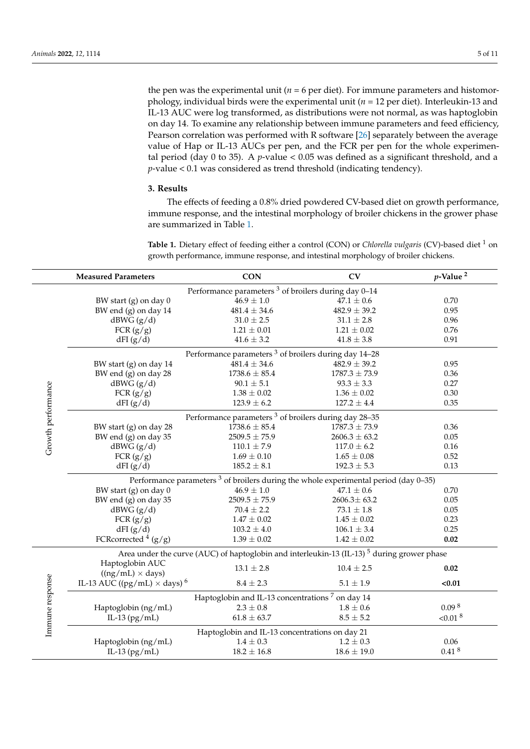the pen was the experimental unit ( $n = 6$  per diet). For immune parameters and histomorphology, individual birds were the experimental unit (*n* = 12 per diet). Interleukin-13 and IL-13 AUC were log transformed, as distributions were not normal, as was haptoglobin on day 14. To examine any relationship between immune parameters and feed efficiency, Pearson correlation was performed with R software [\[26\]](#page-9-9) separately between the average value of Hap or IL-13 AUCs per pen, and the FCR per pen for the whole experimental period (day 0 to 35). A *p*-value < 0.05 was defined as a significant threshold, and a *p*-value < 0.1 was considered as trend threshold (indicating tendency).

#### **3. Results**

The effects of feeding a 0.8% dried powdered CV-based diet on growth performance, immune response, and the intestinal morphology of broiler chickens in the grower phase are summarized in Table [1.](#page-5-0)

Table 1. Dietary effect of feeding either a control (CON) or *Chlorella vulgaris* (CV)-based diet <sup>1</sup> on growth performance, immune response, and intestinal morphology of broiler chickens.

|                                                                 | <b>Measured Parameters</b>                                                                            | <b>CON</b>        | CV                | $p$ -Value <sup>2</sup> |  |  |  |
|-----------------------------------------------------------------|-------------------------------------------------------------------------------------------------------|-------------------|-------------------|-------------------------|--|--|--|
| Performance parameters <sup>3</sup> of broilers during day 0-14 |                                                                                                       |                   |                   |                         |  |  |  |
| Growth performance                                              | BW start (g) on day 0                                                                                 | $46.9 \pm 1.0$    | $47.1 \pm 0.6$    | 0.70                    |  |  |  |
|                                                                 | BW end (g) on day 14                                                                                  | $481.4 \pm 34.6$  | $482.9 \pm 39.2$  | 0.95                    |  |  |  |
|                                                                 | dBWG(g/d)                                                                                             | $31.0\pm2.5$      | $31.1\pm2.8$      | 0.96                    |  |  |  |
|                                                                 | FCR $(g/g)$                                                                                           | $1.21 \pm 0.01$   | $1.21 \pm 0.02$   | 0.76                    |  |  |  |
|                                                                 | dFI(g/d)                                                                                              | $41.6 \pm 3.2$    | $41.8 \pm 3.8$    | 0.91                    |  |  |  |
|                                                                 | Performance parameters <sup>3</sup> of broilers during day 14-28                                      |                   |                   |                         |  |  |  |
|                                                                 | BW start (g) on day 14                                                                                | $481.4 \pm 34.6$  | $482.9 \pm 39.2$  | 0.95                    |  |  |  |
|                                                                 | BW end (g) on day 28                                                                                  | $1738.6 \pm 85.4$ | $1787.3 \pm 73.9$ | 0.36                    |  |  |  |
|                                                                 | dBWG (g/d)                                                                                            | $90.1 \pm 5.1$    | $93.3 \pm 3.3$    | 0.27                    |  |  |  |
|                                                                 | FCR $(g/g)$                                                                                           | $1.38\pm0.02$     | $1.36 \pm 0.02$   | 0.30                    |  |  |  |
|                                                                 | dFI(g/d)                                                                                              | $123.9 \pm 6.2$   | $127.2 \pm 4.4$   | 0.35                    |  |  |  |
|                                                                 | Performance parameters <sup>3</sup> of broilers during day 28-35                                      |                   |                   |                         |  |  |  |
|                                                                 | BW start (g) on day 28                                                                                | $1738.6 \pm 85.4$ | $1787.3 \pm 73.9$ | 0.36                    |  |  |  |
|                                                                 | BW end (g) on day 35                                                                                  | $2509.5 \pm 75.9$ | $2606.3 \pm 63.2$ | 0.05                    |  |  |  |
|                                                                 | dBWG(g/d)                                                                                             | $110.1 \pm 7.9$   | $117.0 \pm 6.2$   | 0.16                    |  |  |  |
|                                                                 | FCR $(g/g)$                                                                                           | $1.69 \pm 0.10$   | $1.65 \pm 0.08$   | 0.52                    |  |  |  |
|                                                                 | dFI(g/d)                                                                                              | $185.2 \pm 8.1$   | $192.3 \pm 5.3$   | 0.13                    |  |  |  |
|                                                                 | Performance parameters $3$ of broilers during the whole experimental period (day 0-35)                |                   |                   |                         |  |  |  |
|                                                                 | BW start (g) on day 0                                                                                 | $46.9\pm1.0$      | $47.1 \pm 0.6$    | 0.70                    |  |  |  |
|                                                                 | BW end (g) on day 35                                                                                  | $2509.5 \pm 75.9$ | $2606.3 \pm 63.2$ | 0.05                    |  |  |  |
|                                                                 | dBWG(g/d)                                                                                             | $70.4 \pm 2.2$    | $73.1\pm1.8$      | 0.05                    |  |  |  |
|                                                                 | FCR $(g/g)$                                                                                           | $1.47 \pm 0.02$   | $1.45 \pm 0.02$   | 0.23                    |  |  |  |
|                                                                 | dFI(g/d)                                                                                              | $103.2 \pm 4.0$   | $106.1 \pm 3.4$   | 0.25                    |  |  |  |
|                                                                 | FCRcorrected $4(g/g)$                                                                                 | $1.39 \pm 0.02$   | $1.42 \pm 0.02$   | 0.02                    |  |  |  |
| Immune response                                                 | Area under the curve (AUC) of haptoglobin and interleukin-13 (IL-13) <sup>5</sup> during grower phase |                   |                   |                         |  |  |  |
|                                                                 | Haptoglobin AUC                                                                                       | $13.1 \pm 2.8$    | $10.4 \pm 2.5$    | 0.02                    |  |  |  |
|                                                                 | $((ng/mL) \times days)$                                                                               |                   |                   |                         |  |  |  |
|                                                                 | IL-13 AUC ((pg/mL) $\times$ days) <sup>6</sup>                                                        | $8.4 \pm 2.3$     | $5.1 \pm 1.9$     | < 0.01                  |  |  |  |
|                                                                 | Haptoglobin and IL-13 concentrations <sup>7</sup> on day 14                                           |                   |                   |                         |  |  |  |
|                                                                 | Haptoglobin (ng/mL)                                                                                   | $2.3 \pm 0.8$     | $1.8 \pm 0.6$     | 0.09 <sup>8</sup>       |  |  |  |
|                                                                 | IL-13 $(pg/mL)$                                                                                       | $61.8 \pm 63.7$   | $8.5 \pm 5.2$     | $< 0.01$ <sup>8</sup>   |  |  |  |
|                                                                 | Haptoglobin and IL-13 concentrations on day 21                                                        |                   |                   |                         |  |  |  |
|                                                                 | Haptoglobin (ng/mL)                                                                                   | $1.4 \pm 0.3$     | $1.2 \pm 0.3$     | 0.06                    |  |  |  |
|                                                                 | IL-13 $(pg/mL)$                                                                                       | $18.2 \pm 16.8$   | $18.6 \pm 19.0$   | 0.41 <sup>8</sup>       |  |  |  |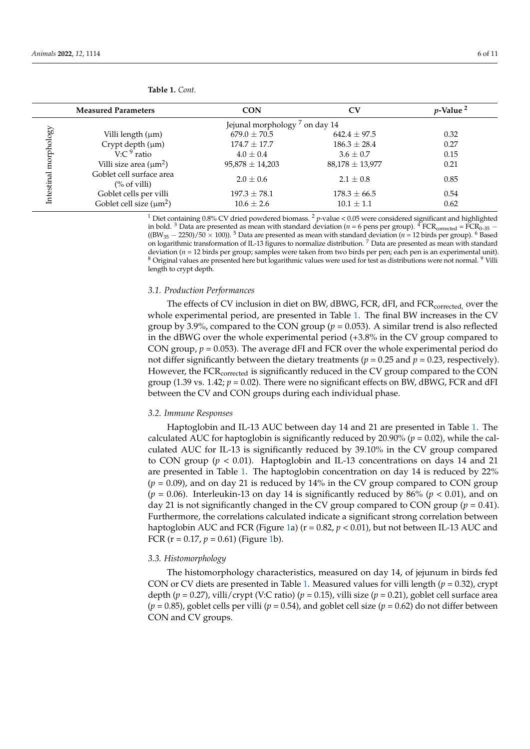<span id="page-5-0"></span>

|            | <b>Measured Parameters</b>                           | <b>CON</b>          | CV                  | $p$ -Value <sup>2</sup> |  |  |
|------------|------------------------------------------------------|---------------------|---------------------|-------------------------|--|--|
|            | Jejunal morphology <sup>7</sup> on day 14            |                     |                     |                         |  |  |
|            | Villi length $(\mu m)$                               | $679.0 \pm 70.5$    | $642.4 + 97.5$      | 0.32                    |  |  |
|            | Crypt depth (µm)                                     | $174.7 + 17.7$      | $186.3 \pm 28.4$    | 0.27                    |  |  |
|            | V:C $9$ ratio                                        | $4.0 + 0.4$         | $3.6 \pm 0.7$       | 0.15                    |  |  |
| morphology | Villi size area $(\mu m^2)$                          | $95,878 \pm 14,203$ | $88,178 \pm 13,977$ | 0.21                    |  |  |
| Intestinal | Goblet cell surface area<br>$\frac{\%}{\%}$ of villi | $2.0 \pm 0.6$       | $2.1 \pm 0.8$       | 0.85                    |  |  |
|            | Goblet cells per villi                               | $197.3 \pm 78.1$    | $178.3 \pm 66.5$    | 0.54                    |  |  |
|            | Goblet cell size $(\mu m^2)$                         | $10.6 \pm 2.6$      | $10.1 \pm 1.1$      | 0.62                    |  |  |

<sup>1</sup> Diet containing 0.8% CV dried powdered biomass. <sup>2</sup> *p*-value < 0.05 were considered significant and highlighted in bold. <sup>3</sup> Data are presented as mean with standard deviation ( $n = 6$  pens per group). <sup>4</sup> FCR<sub>corrected</sub> = FCR<sub>0–35</sub> −  $((BW_{35} - 2250)/50 \times 100)$ . <sup>5</sup> Data are presented as mean with standard deviation (*n* = 12 birds per group). <sup>6</sup> Based on logarithmic transformation of IL-13 figures to normalize distribution. <sup>7</sup> Data are presented as mean with standard deviation ( $n = 12$  birds per group; samples were taken from two birds per pen; each pen is an experimental unit). <sup>8</sup> Original values are presented here but logarithmic values were used for test as distributions were not normal. <sup>9</sup> Villi length to crypt depth.

## *3.1. Production Performances*

The effects of CV inclusion in diet on BW, dBWG, FCR, dFI, and FCR<sub>corrected</sub>, over the whole experimental period, are presented in Table [1.](#page-5-0) The final BW increases in the CV group by 3.9%, compared to the CON group ( $p = 0.053$ ). A similar trend is also reflected in the dBWG over the whole experimental period (+3.8% in the CV group compared to CON group,  $p = 0.053$ ). The average dFI and FCR over the whole experimental period do not differ significantly between the dietary treatments ( $p = 0.25$  and  $p = 0.23$ , respectively). However, the FCR<sub>corrected</sub> is significantly reduced in the CV group compared to the CON group (1.39 vs.  $1.42$ ;  $p = 0.02$ ). There were no significant effects on BW, dBWG, FCR and dFI between the CV and CON groups during each individual phase.

#### *3.2. Immune Responses*

Haptoglobin and IL-13 AUC between day 14 and 21 are presented in Table [1.](#page-5-0) The calculated AUC for haptoglobin is significantly reduced by 20.90% ( $p = 0.02$ ), while the calculated AUC for IL-13 is significantly reduced by 39.10% in the CV group compared to CON group (*p* < 0.01). Haptoglobin and IL-13 concentrations on days 14 and 21 are presented in Table [1.](#page-5-0) The haptoglobin concentration on day 14 is reduced by 22%  $(p = 0.09)$ , and on day 21 is reduced by 14% in the CV group compared to CON group  $(p = 0.06)$ . Interleukin-13 on day 14 is significantly reduced by 86%  $(p < 0.01)$ , and on day 21 is not significantly changed in the CV group compared to CON group ( $p = 0.41$ ). Furthermore, the correlations calculated indicate a significant strong correlation between haptoglobin AUC and FCR (Figure [1a](#page-6-0))  $(r = 0.82, p < 0.01)$ , but not between IL-13 AUC and FCR  $(r = 0.17, p = 0.61)$  (Figure [1b](#page-6-0)).

#### *3.3. Histomorphology*

The histomorphology characteristics, measured on day 14, of jejunum in birds fed CON or CV diets are presented in Table [1.](#page-5-0) Measured values for villi length (*p* = 0.32), crypt depth (*p* = 0.27), villi/crypt (V:C ratio) (*p* = 0.15), villi size (*p* = 0.21), goblet cell surface area  $(p = 0.85)$ , goblet cells per villi  $(p = 0.54)$ , and goblet cell size  $(p = 0.62)$  do not differ between CON and CV groups.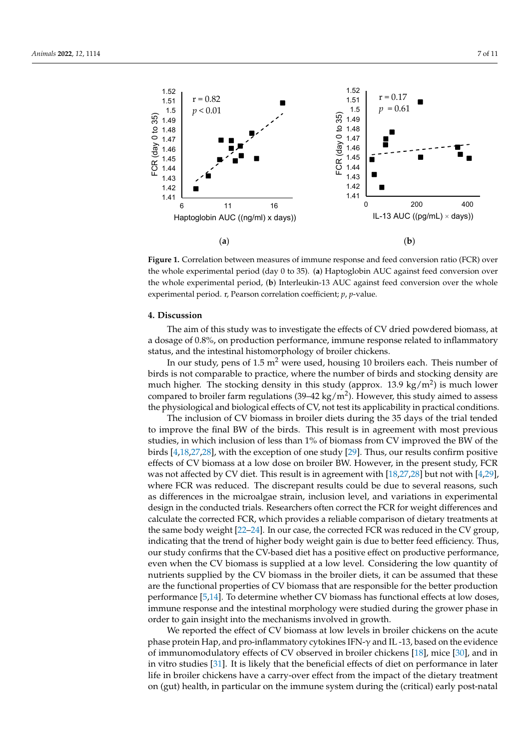<span id="page-6-0"></span>

**Figure 1.** Correlation between measures of immune response and feed conversion ratio (FCR) over **Figure 1.** Correlation between measures of immune response and feed conversion ratio (FCR) over the whole experimental period (day 0 to 35). (**a**) Haptoglobin AUC against feed conversion over the the whole experimental period (day 0 to 35). (**a**) Haptoglobin AUC against feed conversion over whole experimental period, (**b**) Interleukin-13 AUC against feed conversion over the whole the whole experimental period, (**b**) Interleukin-13 AUC against feed conversion over the whole experimental period. r, Pearson correlation coefficient; *p*, *p*-value. experimental period. r, Pearson correlation coefficient; *p*, *p*-value.

#### **4. Discussion**

The aim of this study was to investigate the effects of CV dried powdered biomass, at a dosage of 0.8%, on production performance, immune response related to inflammatory examples (*p* =  $\frac{1}{2}$  p =  $\frac{1}{2}$  p =  $\frac{1}{2}$  p =  $\frac{1}{2}$  p =  $\frac{1}{2}$  p =  $\frac{1}{2}$  p =  $\frac{1}{2}$  p =  $\frac{1}{2}$  p =  $\frac{1}{2}$  p =  $\frac{1}{2}$  p =  $\frac{1}{2}$  p =  $\frac{1}{2}$  p =  $\frac{1}{2}$  p =  $\frac{1}{2}$  p =  $\frac{1}{2}$ 

In our study, pens of 1.5 m<sup>2</sup> were used, housing 10 broilers each. Theis number of birds is not comparable to practice, where the number of birds and stocking density are compared to broiler farm regulations (39–42 kg/m<sup>2</sup>). However, this study aimed to assess the physiological and biological effects of CV, not test its applicability in practical conditions. much higher. The stocking density in this study (approx. 13.9 kg/m<sup>2</sup>) is much lower

The inclusion of CV biomass in broiler diets during the 35 days of the trial tended to improve the final BW of the birds. This result is in agreement with most previous studies, in which inclusion of less than 1% of biomass from CV improved the BW of the birds [\[4](#page-8-2)[,18,](#page-9-2)[27](#page-9-10)[,28\]](#page-9-11), with the exception of one study [29]. Thus, our results confirm positive effects of CV biomass at a low dose on broiler BW. However, in the present study, FCR was not affected by CV diet. This result is in agreement with [18,27,28] but not with [4,29], where FCR was reduced. The discrepant results could be due to several reasons, such as differences in the microalgae strain, inclusion level, and variations in experimental design in the conducted trials. Researchers often correct the FCR for weight differences and calculate the corrected FCR, which provides a reliable comparison of dietary treatments at the same body weight [\[22–](#page-9-6)[24\]](#page-9-7). In our case, the corrected FCR was reduced in the CV group, indicating that the trend of higher body weight gain is due to better feed efficiency. Thus, our study confirms that the CV-based diet has a positive effect on productive performance, even when the CV biomass is supplied at a low level. Considering the low quantity of nutrients supplied by the CV biomass in the broiler diets, it can be assumed that these are the functional properties of CV biomass that are responsible for the better production performance [\[5](#page-8-3)[,14\]](#page-9-13). To determine whether CV biomass has functional effects at low doses, immune response and the intestinal morphology were studied during the grower phase in order to gain insight into the mechanisms involved in growth.

We reported the effect of CV biomass at low levels in broiler chickens on the acute phase protein Hap, and pro-inflammatory cytokines IFN-γ and IL -13, based on the evidence of immunomodulatory effects of CV observed in broiler chickens [\[18\]](#page-9-2), mice [\[30\]](#page-9-14), and in in vitro studies [\[31\]](#page-9-15). It is likely that the beneficial effects of diet on performance in later in it can be assumed in later life in broiler chickens have a carry-over effect from the impact of the dietary treatment on (gut) health, in particular on the immune system during the (critical) early post-natal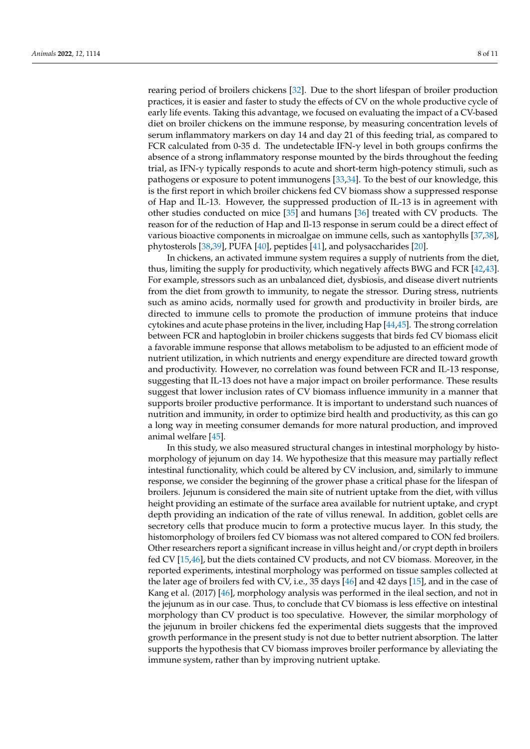rearing period of broilers chickens [\[32\]](#page-9-16). Due to the short lifespan of broiler production practices, it is easier and faster to study the effects of CV on the whole productive cycle of early life events. Taking this advantage, we focused on evaluating the impact of a CV-based diet on broiler chickens on the immune response, by measuring concentration levels of serum inflammatory markers on day 14 and day 21 of this feeding trial, as compared to FCR calculated from 0-35 d. The undetectable IFN- $\gamma$  level in both groups confirms the absence of a strong inflammatory response mounted by the birds throughout the feeding trial, as IFN-γ typically responds to acute and short-term high-potency stimuli, such as pathogens or exposure to potent immunogens [\[33,](#page-9-17)[34\]](#page-9-18). To the best of our knowledge, this is the first report in which broiler chickens fed CV biomass show a suppressed response of Hap and IL-13. However, the suppressed production of IL-13 is in agreement with other studies conducted on mice [\[35\]](#page-9-19) and humans [\[36\]](#page-9-20) treated with CV products. The reason for of the reduction of Hap and Il-13 response in serum could be a direct effect of various bioactive components in microalgae on immune cells, such as xantophylls [\[37](#page-9-21)[,38\]](#page-10-0), phytosterols [\[38](#page-10-0)[,39\]](#page-10-1), PUFA [\[40\]](#page-10-2), peptides [\[41\]](#page-10-3), and polysaccharides [\[20\]](#page-9-4).

In chickens, an activated immune system requires a supply of nutrients from the diet, thus, limiting the supply for productivity, which negatively affects BWG and FCR [\[42,](#page-10-4)[43\]](#page-10-5). For example, stressors such as an unbalanced diet, dysbiosis, and disease divert nutrients from the diet from growth to immunity, to negate the stressor. During stress, nutrients such as amino acids, normally used for growth and productivity in broiler birds, are directed to immune cells to promote the production of immune proteins that induce cytokines and acute phase proteins in the liver, including Hap [\[44](#page-10-6)[,45\]](#page-10-7). The strong correlation between FCR and haptoglobin in broiler chickens suggests that birds fed CV biomass elicit a favorable immune response that allows metabolism to be adjusted to an efficient mode of nutrient utilization, in which nutrients and energy expenditure are directed toward growth and productivity. However, no correlation was found between FCR and IL-13 response, suggesting that IL-13 does not have a major impact on broiler performance. These results suggest that lower inclusion rates of CV biomass influence immunity in a manner that supports broiler productive performance. It is important to understand such nuances of nutrition and immunity, in order to optimize bird health and productivity, as this can go a long way in meeting consumer demands for more natural production, and improved animal welfare [\[45\]](#page-10-7).

In this study, we also measured structural changes in intestinal morphology by histomorphology of jejunum on day 14. We hypothesize that this measure may partially reflect intestinal functionality, which could be altered by CV inclusion, and, similarly to immune response, we consider the beginning of the grower phase a critical phase for the lifespan of broilers. Jejunum is considered the main site of nutrient uptake from the diet, with villus height providing an estimate of the surface area available for nutrient uptake, and crypt depth providing an indication of the rate of villus renewal. In addition, goblet cells are secretory cells that produce mucin to form a protective mucus layer. In this study, the histomorphology of broilers fed CV biomass was not altered compared to CON fed broilers. Other researchers report a significant increase in villus height and/or crypt depth in broilers fed CV [\[15,](#page-9-22)[46\]](#page-10-8), but the diets contained CV products, and not CV biomass. Moreover, in the reported experiments, intestinal morphology was performed on tissue samples collected at the later age of broilers fed with CV, i.e., 35 days [\[46\]](#page-10-8) and 42 days [\[15\]](#page-9-22), and in the case of Kang et al. (2017) [\[46\]](#page-10-8), morphology analysis was performed in the ileal section, and not in the jejunum as in our case. Thus, to conclude that CV biomass is less effective on intestinal morphology than CV product is too speculative. However, the similar morphology of the jejunum in broiler chickens fed the experimental diets suggests that the improved growth performance in the present study is not due to better nutrient absorption. The latter supports the hypothesis that CV biomass improves broiler performance by alleviating the immune system, rather than by improving nutrient uptake.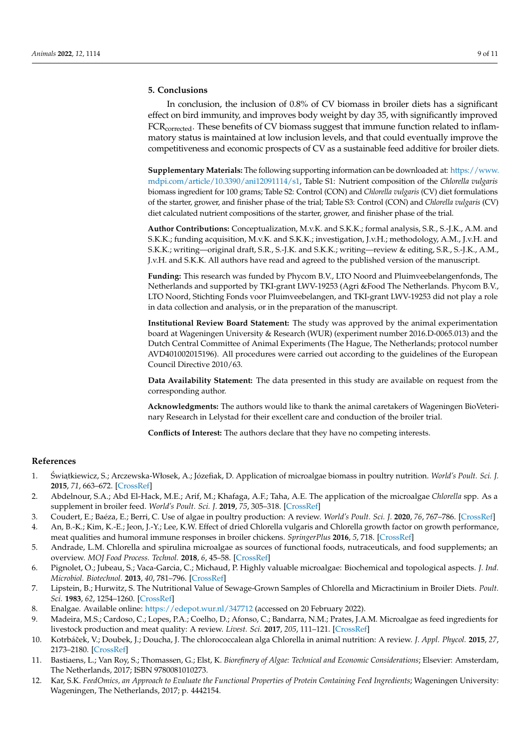## **5. Conclusions**

In conclusion, the inclusion of 0.8% of CV biomass in broiler diets has a significant effect on bird immunity, and improves body weight by day 35, with significantly improved FCR<sub>corrected</sub>. These benefits of CV biomass suggest that immune function related to inflammatory status is maintained at low inclusion levels, and that could eventually improve the competitiveness and economic prospects of CV as a sustainable feed additive for broiler diets.

**Supplementary Materials:** The following supporting information can be downloaded at: [https://www.](https://www.mdpi.com/article/10.3390/ani12091114/s1) [mdpi.com/article/10.3390/ani12091114/s1,](https://www.mdpi.com/article/10.3390/ani12091114/s1) Table S1: Nutrient composition of the *Chlorella vulgaris* biomass ingredient for 100 grams; Table S2: Control (CON) and *Chlorella vulgaris* (CV) diet formulations of the starter, grower, and finisher phase of the trial; Table S3: Control (CON) and *Chlorella vulgaris* (CV) diet calculated nutrient compositions of the starter, grower, and finisher phase of the trial.

**Author Contributions:** Conceptualization, M.v.K. and S.K.K.; formal analysis, S.R., S.-J.K., A.M. and S.K.K.; funding acquisition, M.v.K. and S.K.K.; investigation, J.v.H.; methodology, A.M., J.v.H. and S.K.K.; writing—original draft, S.R., S.-J.K. and S.K.K.; writing—review & editing, S.R., S.-J.K., A.M., J.v.H. and S.K.K. All authors have read and agreed to the published version of the manuscript.

**Funding:** This research was funded by Phycom B.V., LTO Noord and Pluimveebelangenfonds, The Netherlands and supported by TKI-grant LWV-19253 (Agri &Food The Netherlands. Phycom B.V., LTO Noord, Stichting Fonds voor Pluimveebelangen, and TKI-grant LWV-19253 did not play a role in data collection and analysis, or in the preparation of the manuscript.

**Institutional Review Board Statement:** The study was approved by the animal experimentation board at Wageningen University & Research (WUR) (experiment number 2016.D-0065.013) and the Dutch Central Committee of Animal Experiments (The Hague, The Netherlands; protocol number AVD401002015196). All procedures were carried out according to the guidelines of the European Council Directive 2010/63.

**Data Availability Statement:** The data presented in this study are available on request from the corresponding author.

**Acknowledgments:** The authors would like to thank the animal caretakers of Wageningen BioVeterinary Research in Lelystad for their excellent care and conduction of the broiler trial.

**Conflicts of Interest:** The authors declare that they have no competing interests.

## **References**

- <span id="page-8-0"></span>1. Światkiewicz, S.; Arczewska-Włosek, A.; Józefiak, D. Application of microalgae biomass in poultry nutrition. *World's Poult. Sci. J.* **2015**, *71*, 663–672. [\[CrossRef\]](http://doi.org/10.1017/S0043933915002457)
- <span id="page-8-5"></span>2. Abdelnour, S.A.; Abd El-Hack, M.E.; Arif, M.; Khafaga, A.F.; Taha, A.E. The application of the microalgae *Chlorella* spp. As a supplement in broiler feed. *World's Poult. Sci. J.* **2019**, *75*, 305–318. [\[CrossRef\]](http://doi.org/10.1017/S0043933919000047)
- <span id="page-8-1"></span>3. Coudert, E.; Baéza, E.; Berri, C. Use of algae in poultry production: A review. *World's Poult. Sci. J.* **2020**, *76*, 767–786. [\[CrossRef\]](http://doi.org/10.1080/00439339.2020.1830012)
- <span id="page-8-2"></span>4. An, B.-K.; Kim, K.-E.; Jeon, J.-Y.; Lee, K.W. Effect of dried Chlorella vulgaris and Chlorella growth factor on growth performance, meat qualities and humoral immune responses in broiler chickens. *SpringerPlus* **2016**, *5*, 718. [\[CrossRef\]](http://doi.org/10.1186/s40064-016-2373-4)
- <span id="page-8-3"></span>5. Andrade, L.M. Chlorella and spirulina microalgae as sources of functional foods, nutraceuticals, and food supplements; an overview. *MOJ Food Process. Technol.* **2018**, *6*, 45–58. [\[CrossRef\]](http://doi.org/10.15406/mojfpt.2018.06.00144)
- <span id="page-8-4"></span>6. Pignolet, O.; Jubeau, S.; Vaca-Garcia, C.; Michaud, P. Highly valuable microalgae: Biochemical and topological aspects. *J. Ind. Microbiol. Biotechnol.* **2013**, *40*, 781–796. [\[CrossRef\]](http://doi.org/10.1007/s10295-013-1281-7)
- <span id="page-8-6"></span>7. Lipstein, B.; Hurwitz, S. The Nutritional Value of Sewage-Grown Samples of Chlorella and Micractinium in Broiler Diets. *Poult. Sci.* **1983**, *62*, 1254–1260. [\[CrossRef\]](http://doi.org/10.3382/ps.0621254)
- <span id="page-8-7"></span>8. Enalgae. Available online: <https://edepot.wur.nl/347712> (accessed on 20 February 2022).
- <span id="page-8-8"></span>9. Madeira, M.S.; Cardoso, C.; Lopes, P.A.; Coelho, D.; Afonso, C.; Bandarra, N.M.; Prates, J.A.M. Microalgae as feed ingredients for livestock production and meat quality: A review. *Livest. Sci.* **2017**, *205*, 111–121. [\[CrossRef\]](http://doi.org/10.1016/j.livsci.2017.09.020)
- <span id="page-8-9"></span>10. Kotrbáˇcek, V.; Doubek, J.; Doucha, J. The chlorococcalean alga Chlorella in animal nutrition: A review. *J. Appl. Phycol.* **2015**, *27*, 2173–2180. [\[CrossRef\]](http://doi.org/10.1007/s10811-014-0516-y)
- <span id="page-8-10"></span>11. Bastiaens, L.; Van Roy, S.; Thomassen, G.; Elst, K. *Biorefinery of Algae: Technical and Economic Considerations*; Elsevier: Amsterdam, The Netherlands, 2017; ISBN 9780081010273.
- <span id="page-8-11"></span>12. Kar, S.K. *FeedOmics, an Approach to Evaluate the Functional Properties of Protein Containing Feed Ingredients*; Wageningen University: Wageningen, The Netherlands, 2017; p. 4442154.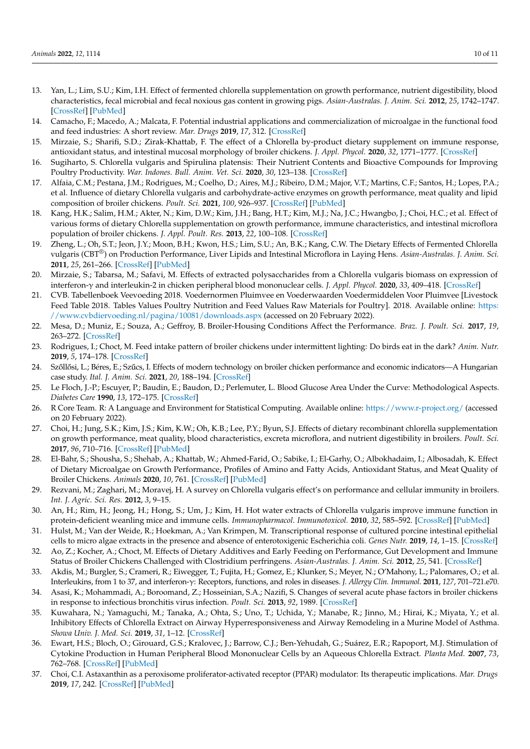- <span id="page-9-0"></span>13. Yan, L.; Lim, S.U.; Kim, I.H. Effect of fermented chlorella supplementation on growth performance, nutrient digestibility, blood characteristics, fecal microbial and fecal noxious gas content in growing pigs. *Asian-Australas. J. Anim. Sci.* **2012**, *25*, 1742–1747. [\[CrossRef\]](http://doi.org/10.5713/ajas.2012.12352) [\[PubMed\]](http://www.ncbi.nlm.nih.gov/pubmed/25049540)
- <span id="page-9-13"></span>14. Camacho, F.; Macedo, A.; Malcata, F. Potential industrial applications and commercialization of microalgae in the functional food and feed industries: A short review. *Mar. Drugs* **2019**, *17*, 312. [\[CrossRef\]](http://doi.org/10.3390/md17060312)
- <span id="page-9-22"></span>15. Mirzaie, S.; Sharifi, S.D.; Zirak-Khattab, F. The effect of a Chlorella by-product dietary supplement on immune response, antioxidant status, and intestinal mucosal morphology of broiler chickens. *J. Appl. Phycol.* **2020**, *32*, 1771–1777. [\[CrossRef\]](http://doi.org/10.1007/s10811-020-02093-5)
- 16. Sugiharto, S. Chlorella vulgaris and Spirulina platensis: Their Nutrient Contents and Bioactive Compounds for Improving Poultry Productivity. *War. Indones. Bull. Anim. Vet. Sci.* **2020**, *30*, 123–138. [\[CrossRef\]](http://doi.org/10.14334/wartazoa.v30i3.2523)
- <span id="page-9-1"></span>17. Alfaia, C.M.; Pestana, J.M.; Rodrigues, M.; Coelho, D.; Aires, M.J.; Ribeiro, D.M.; Major, V.T.; Martins, C.F.; Santos, H.; Lopes, P.A.; et al. Influence of dietary Chlorella vulgaris and carbohydrate-active enzymes on growth performance, meat quality and lipid composition of broiler chickens. *Poult. Sci.* **2021**, *100*, 926–937. [\[CrossRef\]](http://doi.org/10.1016/j.psj.2020.11.034) [\[PubMed\]](http://www.ncbi.nlm.nih.gov/pubmed/33518146)
- <span id="page-9-2"></span>18. Kang, H.K.; Salim, H.M.; Akter, N.; Kim, D.W.; Kim, J.H.; Bang, H.T.; Kim, M.J.; Na, J.C.; Hwangbo, J.; Choi, H.C.; et al. Effect of various forms of dietary Chlorella supplementation on growth performance, immune characteristics, and intestinal microflora population of broiler chickens. *J. Appl. Poult. Res.* **2013**, *22*, 100–108. [\[CrossRef\]](http://doi.org/10.3382/japr.2012-00622)
- <span id="page-9-3"></span>19. Zheng, L.; Oh, S.T.; Jeon, J.Y.; Moon, B.H.; Kwon, H.S.; Lim, S.U.; An, B.K.; Kang, C.W. The Dietary Effects of Fermented Chlorella vulgaris (CBT®) on Production Performance, Liver Lipids and Intestinal Microflora in Laying Hens. *Asian-Australas. J. Anim. Sci.* **2011**, *25*, 261–266. [\[CrossRef\]](http://doi.org/10.5713/ajas.2011.11273) [\[PubMed\]](http://www.ncbi.nlm.nih.gov/pubmed/25049560)
- <span id="page-9-4"></span>20. Mirzaie, S.; Tabarsa, M.; Safavi, M. Effects of extracted polysaccharides from a Chlorella vulgaris biomass on expression of interferon-γ and interleukin-2 in chicken peripheral blood mononuclear cells. *J. Appl. Phycol.* **2020**, *33*, 409–418. [\[CrossRef\]](http://doi.org/10.1007/s10811-020-02301-2)
- <span id="page-9-5"></span>21. CVB. Tabellenboek Veevoeding 2018. Voedernormen Pluimvee en Voederwaarden Voedermiddelen Voor Pluimvee [Livestock Feed Table 2018. Tables Values Poultry Nutrition and Feed Values Raw Materials for Poultry]. 2018. Available online: [https:](https://www.cvbdiervoeding.nl/pagina/10081/downloads.aspx) [//www.cvbdiervoeding.nl/pagina/10081/downloads.aspx](https://www.cvbdiervoeding.nl/pagina/10081/downloads.aspx) (accessed on 20 February 2022).
- <span id="page-9-6"></span>22. Mesa, D.; Muniz, E.; Souza, A.; Geffroy, B. Broiler-Housing Conditions Affect the Performance. *Braz. J. Poult. Sci.* **2017**, *19*, 263–272. [\[CrossRef\]](http://doi.org/10.1590/1806-9061-2016-0346)
- 23. Rodrigues, I.; Choct, M. Feed intake pattern of broiler chickens under intermittent lighting: Do birds eat in the dark? *Anim. Nutr.* **2019**, *5*, 174–178. [\[CrossRef\]](http://doi.org/10.1016/j.aninu.2018.12.002)
- <span id="page-9-7"></span>24. Szőllősi, L.; Béres, E.; Szűcs, I. Effects of modern technology on broiler chicken performance and economic indicators—A Hungarian case study. *Ital. J. Anim. Sci.* **2021**, *20*, 188–194. [\[CrossRef\]](http://doi.org/10.1080/1828051X.2021.1877575)
- <span id="page-9-8"></span>25. Le Floch, J.-P.; Escuyer, P.; Baudin, E.; Baudon, D.; Perlemuter, L. Blood Glucose Area Under the Curve: Methodological Aspects. *Diabetes Care* **1990**, *13*, 172–175. [\[CrossRef\]](http://doi.org/10.2337/diacare.13.2.172)
- <span id="page-9-9"></span>26. R Core Team. R: A Language and Environment for Statistical Computing. Available online: <https://www.r-project.org/> (accessed on 20 February 2022).
- <span id="page-9-10"></span>27. Choi, H.; Jung, S.K.; Kim, J.S.; Kim, K.W.; Oh, K.B.; Lee, P.Y.; Byun, S.J. Effects of dietary recombinant chlorella supplementation on growth performance, meat quality, blood characteristics, excreta microflora, and nutrient digestibility in broilers. *Poult. Sci.* **2017**, *96*, 710–716. [\[CrossRef\]](http://doi.org/10.3382/ps/pew345) [\[PubMed\]](http://www.ncbi.nlm.nih.gov/pubmed/27697932)
- <span id="page-9-11"></span>28. El-Bahr, S.; Shousha, S.; Shehab, A.; Khattab, W.; Ahmed-Farid, O.; Sabike, I.; El-Garhy, O.; Albokhadaim, I.; Albosadah, K. Effect of Dietary Microalgae on Growth Performance, Profiles of Amino and Fatty Acids, Antioxidant Status, and Meat Quality of Broiler Chickens. *Animals* **2020**, *10*, 761. [\[CrossRef\]](http://doi.org/10.3390/ani10050761) [\[PubMed\]](http://www.ncbi.nlm.nih.gov/pubmed/32349360)
- <span id="page-9-12"></span>29. Rezvani, M.; Zaghari, M.; Moravej, H. A survey on Chlorella vulgaris effect's on performance and cellular immunity in broilers. *Int. J. Agric. Sci. Res.* **2012**, *3*, 9–15.
- <span id="page-9-14"></span>30. An, H.; Rim, H.; Jeong, H.; Hong, S.; Um, J.; Kim, H. Hot water extracts of Chlorella vulgaris improve immune function in protein-deficient weanling mice and immune cells. *Immunopharmacol. Immunotoxicol.* **2010**, *32*, 585–592. [\[CrossRef\]](http://doi.org/10.3109/08923971003604778) [\[PubMed\]](http://www.ncbi.nlm.nih.gov/pubmed/20128656)
- <span id="page-9-15"></span>31. Hulst, M.; Van der Weide, R.; Hoekman, A.; Van Krimpen, M. Transcriptional response of cultured porcine intestinal epithelial cells to micro algae extracts in the presence and absence of enterotoxigenic Escherichia coli. *Genes Nutr.* **2019**, *14*, 1–15. [\[CrossRef\]](http://doi.org/10.1186/s12263-019-0632-z)
- <span id="page-9-16"></span>32. Ao, Z.; Kocher, A.; Choct, M. Effects of Dietary Additives and Early Feeding on Performance, Gut Development and Immune Status of Broiler Chickens Challenged with Clostridium perfringens. *Asian-Australas. J. Anim. Sci.* **2012**, *25*, 541. [\[CrossRef\]](http://doi.org/10.5713/ajas.2011.11378)
- <span id="page-9-17"></span>33. Akdis, M.; Burgler, S.; Crameri, R.; Eiwegger, T.; Fujita, H.; Gomez, E.; Klunker, S.; Meyer, N.; O'Mahony, L.; Palomares, O.; et al. Interleukins, from 1 to 37, and interferon-γ: Receptors, functions, and roles in diseases. *J. Allergy Clin. Immunol.* **2011**, *127*, 701–721.e70.
- <span id="page-9-18"></span>34. Asasi, K.; Mohammadi, A.; Boroomand, Z.; Hosseinian, S.A.; Nazifi, S. Changes of several acute phase factors in broiler chickens in response to infectious bronchitis virus infection. *Poult. Sci.* **2013**, *92*, 1989. [\[CrossRef\]](http://doi.org/10.3382/ps.2012-02902)
- <span id="page-9-19"></span>35. Kuwahara, N.; Yamaguchi, M.; Tanaka, A.; Ohta, S.; Uno, T.; Uchida, Y.; Manabe, R.; Jinno, M.; Hirai, K.; Miyata, Y.; et al. Inhibitory Effects of Chlorella Extract on Airway Hyperresponsiveness and Airway Remodeling in a Murine Model of Asthma. *Showa Univ. J. Med. Sci.* **2019**, *31*, 1–12. [\[CrossRef\]](http://doi.org/10.15369/sujms.31.1)
- <span id="page-9-20"></span>36. Ewart, H.S.; Bloch, O.; Girouard, G.S.; Kralovec, J.; Barrow, C.J.; Ben-Yehudah, G.; Suárez, E.R.; Rapoport, M.J. Stimulation of Cytokine Production in Human Peripheral Blood Mononuclear Cells by an Aqueous Chlorella Extract. *Planta Med.* **2007**, *73*, 762–768. [\[CrossRef\]](http://doi.org/10.1055/s-2007-981544) [\[PubMed\]](http://www.ncbi.nlm.nih.gov/pubmed/17611933)
- <span id="page-9-21"></span>37. Choi, C.I. Astaxanthin as a peroxisome proliferator-activated receptor (PPAR) modulator: Its therapeutic implications. *Mar. Drugs* **2019**, *17*, 242. [\[CrossRef\]](http://doi.org/10.3390/md17040242) [\[PubMed\]](http://www.ncbi.nlm.nih.gov/pubmed/31018521)